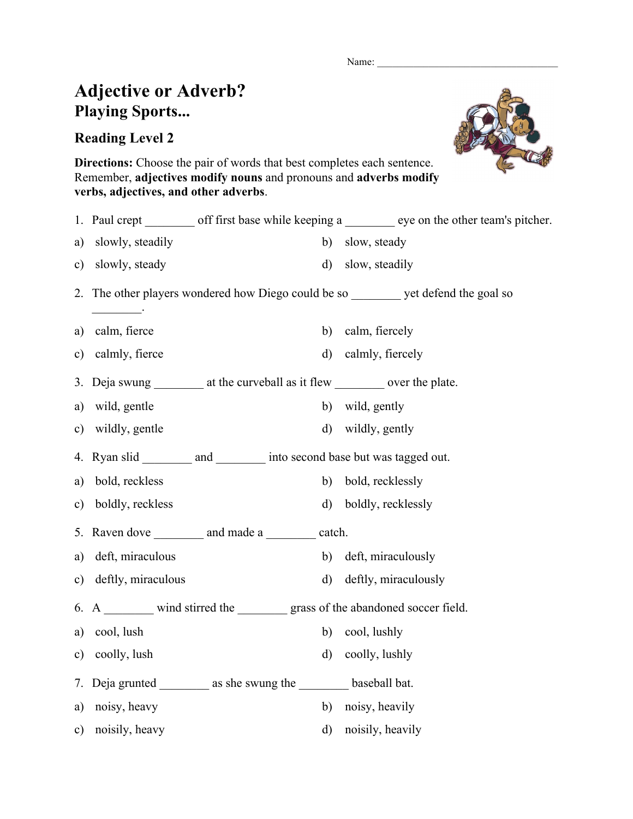Name:

## **Adjective or Adverb? Playing Sports...**

## **Reading Level 2**



**Directions:** Choose the pair of words that best completes each sentence. Remember, **adjectives modify nouns** and pronouns and **adverbs modify verbs, adjectives, and other adverbs**.

|               |                                                                     |              | 1. Paul crept _________ off first base while keeping a _________ eye on the other team's pitcher. |
|---------------|---------------------------------------------------------------------|--------------|---------------------------------------------------------------------------------------------------|
| a)            | slowly, steadily                                                    | b)           | slow, steady                                                                                      |
| $\mathbf{c})$ | slowly, steady                                                      | d)           | slow, steadily                                                                                    |
| 2.            |                                                                     |              | The other players wondered how Diego could be so _________ yet defend the goal so                 |
| a)            | calm, fierce                                                        | b)           | calm, fiercely                                                                                    |
| c)            | calmly, fierce                                                      | $\mathbf{d}$ | calmly, fiercely                                                                                  |
| 3.            |                                                                     |              | Deja swung ___________ at the curveball as it flew ____________ over the plate.                   |
| a)            | wild, gentle                                                        |              | b) wild, gently                                                                                   |
| c)            | wildly, gentle                                                      |              | d) wildly, gently                                                                                 |
|               |                                                                     |              | 4. Ryan slid __________ and __________ into second base but was tagged out.                       |
| a)            | bold, reckless                                                      | b)           | bold, recklessly                                                                                  |
| c)            | boldly, reckless                                                    |              | d) boldly, recklessly                                                                             |
| 5.            | Raven dove ____________ and made a ___________ catch.               |              |                                                                                                   |
| a)            | deft, miraculous                                                    |              | b) deft, miraculously                                                                             |
| $\mathbf{c})$ | deftly, miraculous                                                  | d)           | deftly, miraculously                                                                              |
| 6.            |                                                                     |              | A ________ wind stirred the _________ grass of the abandoned soccer field.                        |
| a)            | cool, lush                                                          | b)           | cool, lushly                                                                                      |
| $\mathbf{c})$ | coolly, lush                                                        | $\mathbf{d}$ | coolly, lushly                                                                                    |
| 7.            | Deja grunted ___________ as she swung the ___________ baseball bat. |              |                                                                                                   |
| a)            | noisy, heavy                                                        | b)           | noisy, heavily                                                                                    |
| $\mathbf{c})$ | noisily, heavy                                                      | $\mathbf{d}$ | noisily, heavily                                                                                  |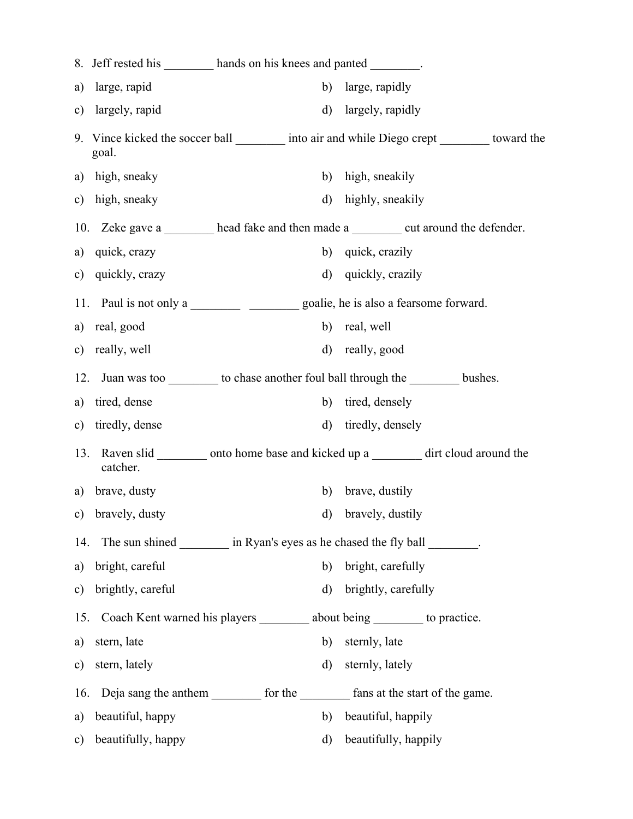| 8.            |                    | Jeff rested his _________ hands on his knees and panted ________. |                                                                                               |
|---------------|--------------------|-------------------------------------------------------------------|-----------------------------------------------------------------------------------------------|
| a)            | large, rapid       | b)                                                                | large, rapidly                                                                                |
| $\mathbf{c})$ | largely, rapid     | d)                                                                | largely, rapidly                                                                              |
|               | goal.              |                                                                   | 9. Vince kicked the soccer ball _________ into air and while Diego crept _________ toward the |
| a)            | high, sneaky       | b)                                                                | high, sneakily                                                                                |
| $\mathbf{c})$ | high, sneaky       | d)                                                                | highly, sneakily                                                                              |
|               |                    |                                                                   | 10. Zeke gave a _______ head fake and then made a ________ cut around the defender.           |
| a)            | quick, crazy       | b)                                                                | quick, crazily                                                                                |
| $\mathbf{c})$ | quickly, crazy     | d)                                                                | quickly, crazily                                                                              |
|               |                    |                                                                   |                                                                                               |
| a)            | real, good         | b)                                                                | real, well                                                                                    |
| c)            | really, well       | d)                                                                | really, good                                                                                  |
| 12.           |                    |                                                                   | Juan was too __________ to chase another foul ball through the ___________ bushes.            |
| a)            | tired, dense       | b)                                                                | tired, densely                                                                                |
| $\mathbf{c})$ | tiredly, dense     | $\mathbf{d}$                                                      | tiredly, densely                                                                              |
| 13.           | catcher.           |                                                                   | Raven slid _________ onto home base and kicked up a _________ dirt cloud around the           |
| a)            | brave, dusty       | b)                                                                | brave, dustily                                                                                |
| c)            | bravely, dusty     | d)                                                                | bravely, dustily                                                                              |
| 14.           |                    |                                                                   | The sun shined __________ in Ryan's eyes as he chased the fly ball ________.                  |
| a)            | bright, careful    | b)                                                                | bright, carefully                                                                             |
| c)            | brightly, careful  | d)                                                                | brightly, carefully                                                                           |
| 15.           |                    |                                                                   | Coach Kent warned his players __________ about being __________ to practice.                  |
| a)            | stern, late        | b)                                                                | sternly, late                                                                                 |
| $\mathbf{c})$ | stern, lately      | $\rm d)$                                                          | sternly, lately                                                                               |
| 16.           |                    |                                                                   | Deja sang the anthem __________ for the ___________ fans at the start of the game.            |
| a)            | beautiful, happy   | b)                                                                | beautiful, happily                                                                            |
| $\mathbf{c})$ | beautifully, happy | d)                                                                | beautifully, happily                                                                          |
|               |                    |                                                                   |                                                                                               |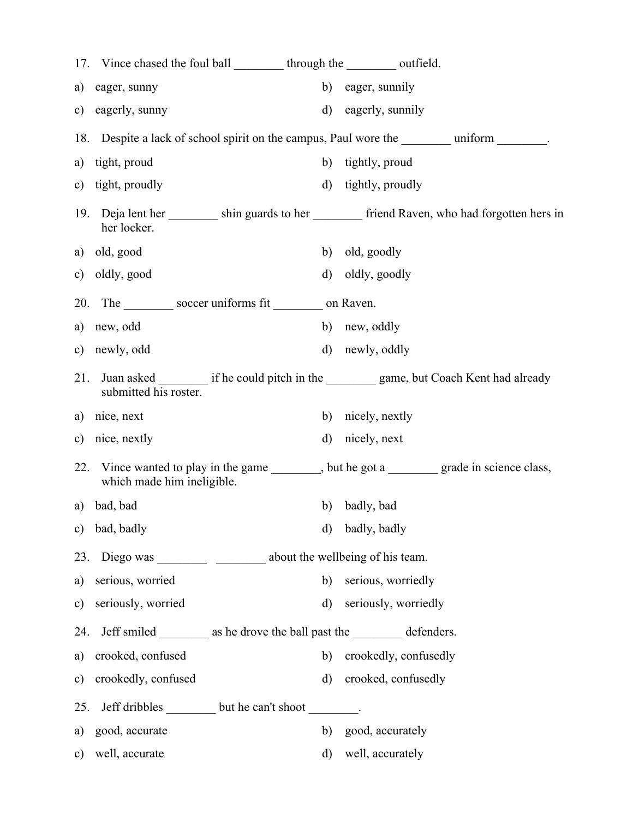|               | 17. Vince chased the foul ball __________ through the __________ outfield.     |          |                                                                                                |  |
|---------------|--------------------------------------------------------------------------------|----------|------------------------------------------------------------------------------------------------|--|
| a)            | eager, sunny                                                                   | b)       | eager, sunnily                                                                                 |  |
| c)            | eagerly, sunny                                                                 | $\rm d)$ | eagerly, sunnily                                                                               |  |
|               |                                                                                |          | 18. Despite a lack of school spirit on the campus, Paul wore the ________ uniform _______.     |  |
| a)            | tight, proud                                                                   |          | b) tightly, proud                                                                              |  |
| $\mathbf{c})$ | tight, proudly                                                                 |          | d) tightly, proudly                                                                            |  |
| 19.           | her locker.                                                                    |          | Deja lent her __________ shin guards to her __________ friend Raven, who had forgotten hers in |  |
|               | a) old, good                                                                   |          | b) old, goodly                                                                                 |  |
|               | c) oldly, good                                                                 |          | d) oldly, goodly                                                                               |  |
| 20.           | The soccer uniforms fit ________ on Raven.                                     |          |                                                                                                |  |
|               | a) new, odd                                                                    |          | b) new, oddly                                                                                  |  |
|               | c) newly, odd                                                                  |          | d) newly, oddly                                                                                |  |
| 21.           | submitted his roster.                                                          |          | Juan asked __________ if he could pitch in the ___________ game, but Coach Kent had already    |  |
|               | a) nice, next                                                                  | b)       | nicely, nextly                                                                                 |  |
|               | c) nice, nextly                                                                | $\rm d)$ | nicely, next                                                                                   |  |
| 22.           | which made him ineligible.                                                     |          | Vince wanted to play in the game ________, but he got a ________ grade in science class,       |  |
| a)            | bad, bad                                                                       | b)       | badly, bad                                                                                     |  |
| $\mathbf{c})$ | bad, badly                                                                     | d)       | badly, badly                                                                                   |  |
| 23.           |                                                                                |          |                                                                                                |  |
| a)            | serious, worried                                                               | b)       | serious, worriedly                                                                             |  |
| $\mathbf{c})$ | seriously, worried                                                             | $\rm d)$ | seriously, worriedly                                                                           |  |
| 24.           | Jeff smiled ___________ as he drove the ball past the _____________ defenders. |          |                                                                                                |  |
| a)            | crooked, confused                                                              | b)       | crookedly, confusedly                                                                          |  |
| $\mathbf{c})$ | crookedly, confused                                                            | $\rm d$  | crooked, confusedly                                                                            |  |
| 25.           | Jeff dribbles __________ but he can't shoot _________.                         |          |                                                                                                |  |
| a)            | good, accurate                                                                 | b)       | good, accurately                                                                               |  |
| $\mathbf{c})$ | well, accurate                                                                 | d)       | well, accurately                                                                               |  |